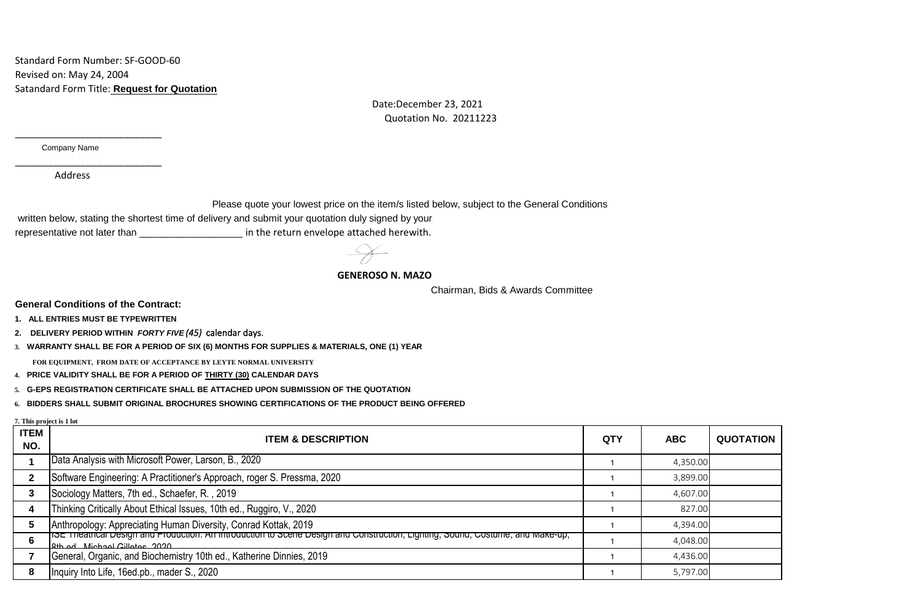Standard Form Number: SF-GOOD-60 Revised on: May 24, 2004 Satandard Form Title: **Request for Quotation**

> Date:December 23, 2021 Quotation No. 20211223

Company Name

\_\_\_\_\_\_\_\_\_\_\_\_\_\_\_\_\_\_\_\_\_\_\_\_\_\_\_

\_\_\_\_\_\_\_\_\_\_\_\_\_\_\_\_\_\_\_\_\_\_\_\_\_\_\_

Address

Please quote your lowest price on the item/s listed below, subject to the General Conditions

written below, stating the shortest time of delivery and submit your quotation duly signed by your

representative not later than \_\_\_\_\_\_\_\_\_\_\_\_\_\_\_\_\_\_\_\_\_\_\_\_ in the return envelope attached herewith.

 **GENEROSO N. MAZO**

Chairman, Bids & Awards Committee

**General Conditions of the Contract:**

**1. ALL ENTRIES MUST BE TYPEWRITTEN**

**2. DELIVERY PERIOD WITHIN** *FORTY FIVE (45)* calendar days.

**3. WARRANTY SHALL BE FOR A PERIOD OF SIX (6) MONTHS FOR SUPPLIES & MATERIALS, ONE (1) YEAR** 

**FOR EQUIPMENT, FROM DATE OF ACCEPTANCE BY LEYTE NORMAL UNIVERSITY**

**4. PRICE VALIDITY SHALL BE FOR A PERIOD OF THIRTY (30) CALENDAR DAYS**

**5. G-EPS REGISTRATION CERTIFICATE SHALL BE ATTACHED UPON SUBMISSION OF THE QUOTATION**

**6. BIDDERS SHALL SUBMIT ORIGINAL BROCHURES SHOWING CERTIFICATIONS OF THE PRODUCT BEING OFFERED**

**7. This project is 1 lot**

| <b>ITEM</b><br>NO. | <b>ITEM &amp; DESCRIPTION</b>                                                                                                                                    | <b>QTY</b> | <b>ABC</b> | <b>QUOTATION</b> |
|--------------------|------------------------------------------------------------------------------------------------------------------------------------------------------------------|------------|------------|------------------|
|                    | Data Analysis with Microsoft Power, Larson, B., 2020                                                                                                             |            | 4,350.00   |                  |
|                    | Software Engineering: A Practitioner's Approach, roger S. Pressma, 2020                                                                                          |            | 3,899.00   |                  |
|                    | Sociology Matters, 7th ed., Schaefer, R., 2019                                                                                                                   |            | 4,607.00   |                  |
|                    | Thinking Critically About Ethical Issues, 10th ed., Ruggiro, V., 2020                                                                                            |            | 827.00     |                  |
|                    | Anthropology: Appreciating Human Diversity, Conrad Kottak, 2019                                                                                                  |            | 4,394.00   |                  |
|                    | hSE Trieatrical Design and Production. An introduction to Scene Design and Construction, Lighting, Sound, Costume, and Make-up,<br>12th ad Michael Cillatos 2020 |            | 4,048.00   |                  |
|                    | General, Organic, and Biochemistry 10th ed., Katherine Dinnies, 2019                                                                                             |            | 4,436.00   |                  |
|                    | Inquiry Into Life, 16ed.pb., mader S., 2020                                                                                                                      |            | 5,797.00   |                  |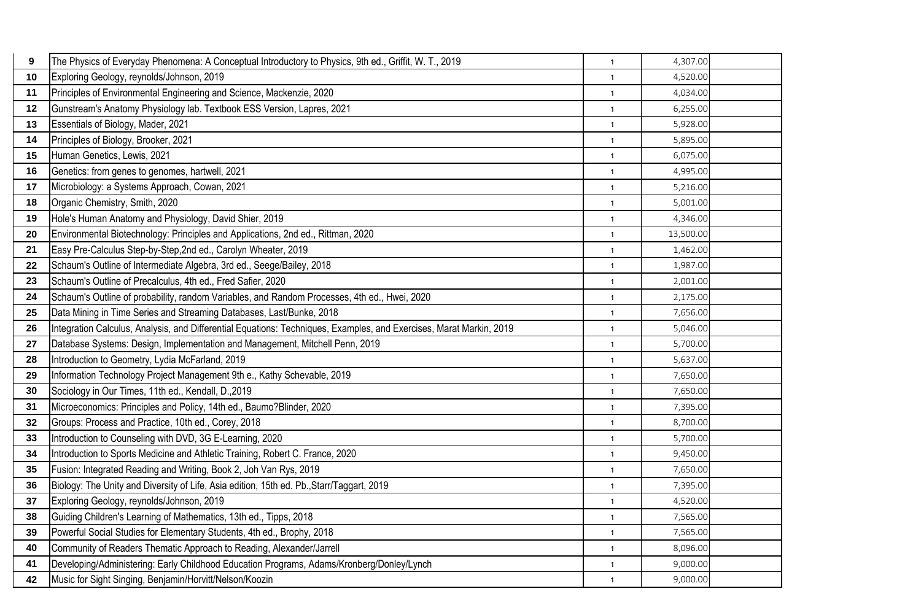| 9  | The Physics of Everyday Phenomena: A Conceptual Introductory to Physics, 9th ed., Griffit, W. T., 2019              | $\mathbf{1}$ | 4,307.00  |  |
|----|---------------------------------------------------------------------------------------------------------------------|--------------|-----------|--|
| 10 | Exploring Geology, reynolds/Johnson, 2019                                                                           | $\mathbf{1}$ | 4,520.00  |  |
| 11 | Principles of Environmental Engineering and Science, Mackenzie, 2020                                                | $\mathbf{1}$ | 4,034.00  |  |
| 12 | Gunstream's Anatomy Physiology lab. Textbook ESS Version, Lapres, 2021                                              | $\mathbf{1}$ | 6,255.00  |  |
| 13 | Essentials of Biology, Mader, 2021                                                                                  | $\mathbf{1}$ | 5,928.00  |  |
| 14 | Principles of Biology, Brooker, 2021                                                                                | $\mathbf{1}$ | 5,895.00  |  |
| 15 | Human Genetics, Lewis, 2021                                                                                         | $\mathbf{1}$ | 6,075.00  |  |
| 16 | Genetics: from genes to genomes, hartwell, 2021                                                                     | $\mathbf{1}$ | 4,995.00  |  |
| 17 | Microbiology: a Systems Approach, Cowan, 2021                                                                       | $\mathbf{1}$ | 5,216.00  |  |
| 18 | Organic Chemistry, Smith, 2020                                                                                      | $\mathbf{1}$ | 5,001.00  |  |
| 19 | Hole's Human Anatomy and Physiology, David Shier, 2019                                                              | $\mathbf{1}$ | 4,346.00  |  |
| 20 | Environmental Biotechnology: Principles and Applications, 2nd ed., Rittman, 2020                                    | $\mathbf{1}$ | 13,500.00 |  |
| 21 | Easy Pre-Calculus Step-by-Step, 2nd ed., Carolyn Wheater, 2019                                                      | $\mathbf{1}$ | 1,462.00  |  |
| 22 | Schaum's Outline of Intermediate Algebra, 3rd ed., Seege/Bailey, 2018                                               | $\mathbf{1}$ | 1,987.00  |  |
| 23 | Schaum's Outline of Precalculus, 4th ed., Fred Safier, 2020                                                         | $\mathbf{1}$ | 2,001.00  |  |
| 24 | Schaum's Outline of probability, random Variables, and Random Processes, 4th ed., Hwei, 2020                        | $\mathbf{1}$ | 2,175.00  |  |
| 25 | Data Mining in Time Series and Streaming Databases, Last/Bunke, 2018                                                | $\mathbf{1}$ | 7,656.00  |  |
| 26 | Integration Calculus, Analysis, and Differential Equations: Techniques, Examples, and Exercises, Marat Markin, 2019 | $\mathbf{1}$ | 5,046.00  |  |
| 27 | Database Systems: Design, Implementation and Management, Mitchell Penn, 2019                                        | $\mathbf{1}$ | 5,700.00  |  |
| 28 | Introduction to Geometry, Lydia McFarland, 2019                                                                     | $\mathbf{1}$ | 5,637.00  |  |
| 29 | Information Technology Project Management 9th e., Kathy Schevable, 2019                                             | $\mathbf{1}$ | 7,650.00  |  |
| 30 | Sociology in Our Times, 11th ed., Kendall, D., 2019                                                                 | $\mathbf{1}$ | 7,650.00  |  |
| 31 | Microeconomics: Principles and Policy, 14th ed., Baumo?Blinder, 2020                                                | $\mathbf{1}$ | 7,395.00  |  |
| 32 | Groups: Process and Practice, 10th ed., Corey, 2018                                                                 | $\mathbf{1}$ | 8,700.00  |  |
| 33 | Introduction to Counseling with DVD, 3G E-Learning, 2020                                                            | $\mathbf{1}$ | 5,700.00  |  |
| 34 | Introduction to Sports Medicine and Athletic Training, Robert C. France, 2020                                       | $\mathbf{1}$ | 9,450.00  |  |
| 35 | Fusion: Integrated Reading and Writing, Book 2, Joh Van Rys, 2019                                                   | $\mathbf{1}$ | 7,650.00  |  |
| 36 | Biology: The Unity and Diversity of Life, Asia edition, 15th ed. Pb., Starr/Taggart, 2019                           | $\mathbf{1}$ | 7,395.00  |  |
| 37 | Exploring Geology, reynolds/Johnson, 2019                                                                           | $\mathbf{1}$ | 4,520.00  |  |
| 38 | Guiding Children's Learning of Mathematics, 13th ed., Tipps, 2018                                                   | $\mathbf{1}$ | 7,565.00  |  |
| 39 | Powerful Social Studies for Elementary Students, 4th ed., Brophy, 2018                                              | $\mathbf{1}$ | 7,565.00  |  |
| 40 | Community of Readers Thematic Approach to Reading, Alexander/Jarrell                                                | $\mathbf{1}$ | 8,096.00  |  |
| 41 | Developing/Administering: Early Childhood Education Programs, Adams/Kronberg/Donley/Lynch                           | $\mathbf{1}$ | 9,000.00  |  |
| 42 | Music for Sight Singing, Benjamin/Horvitt/Nelson/Koozin                                                             | $\mathbf{1}$ | 9,000.00  |  |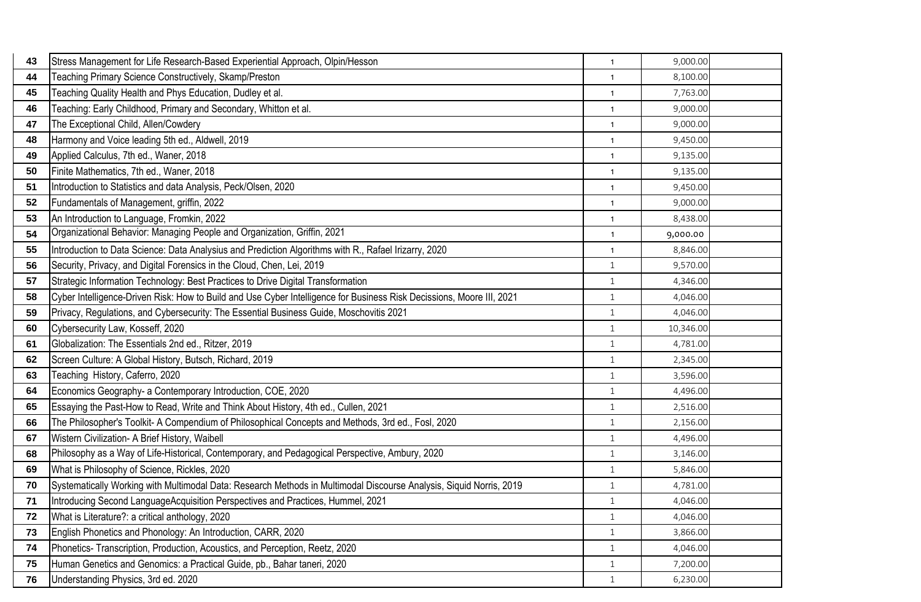| 43 | Stress Management for Life Research-Based Experiential Approach, Olpin/Hesson                                         | $\mathbf{1}$ | 9,000.00  |  |
|----|-----------------------------------------------------------------------------------------------------------------------|--------------|-----------|--|
| 44 | Teaching Primary Science Constructively, Skamp/Preston                                                                | $\mathbf{1}$ | 8,100.00  |  |
| 45 | Teaching Quality Health and Phys Education, Dudley et al.                                                             | $\mathbf{1}$ | 7,763.00  |  |
| 46 | Teaching: Early Childhood, Primary and Secondary, Whitton et al.                                                      | $\mathbf{1}$ | 9,000.00  |  |
| 47 | The Exceptional Child, Allen/Cowdery                                                                                  | $\mathbf{1}$ | 9,000.00  |  |
| 48 | Harmony and Voice leading 5th ed., Aldwell, 2019                                                                      | $\mathbf{1}$ | 9,450.00  |  |
| 49 | Applied Calculus, 7th ed., Waner, 2018                                                                                | $\mathbf{1}$ | 9,135.00  |  |
| 50 | Finite Mathematics, 7th ed., Waner, 2018                                                                              | $\mathbf{1}$ | 9,135.00  |  |
| 51 | Introduction to Statistics and data Analysis, Peck/Olsen, 2020                                                        | $\mathbf{1}$ | 9,450.00  |  |
| 52 | Fundamentals of Management, griffin, 2022                                                                             | $\mathbf{1}$ | 9,000.00  |  |
| 53 | An Introduction to Language, Fromkin, 2022                                                                            | $\mathbf{1}$ | 8,438.00  |  |
| 54 | Organizational Behavior: Managing People and Organization, Griffin, 2021                                              | $\mathbf{1}$ | 9,000.00  |  |
| 55 | Introduction to Data Science: Data Analysius and Prediction Algorithms with R., Rafael Irizarry, 2020                 | $\mathbf{1}$ | 8,846.00  |  |
| 56 | Security, Privacy, and Digital Forensics in the Cloud, Chen, Lei, 2019                                                | $\mathbf{1}$ | 9,570.00  |  |
| 57 | Strategic Information Technology: Best Practices to Drive Digital Transformation                                      | $\mathbf{1}$ | 4,346.00  |  |
| 58 | Cyber Intelligence-Driven Risk: How to Build and Use Cyber Intelligence for Business Risk Decissions, Moore III, 2021 | $\mathbf{1}$ | 4,046.00  |  |
| 59 | Privacy, Regulations, and Cybersecurity: The Essential Business Guide, Moschovitis 2021                               | $\mathbf{1}$ | 4,046.00  |  |
| 60 | Cybersecurity Law, Kosseff, 2020                                                                                      | $\mathbf{1}$ | 10,346.00 |  |
| 61 | Globalization: The Essentials 2nd ed., Ritzer, 2019                                                                   | $\mathbf{1}$ | 4,781.00  |  |
| 62 | Screen Culture: A Global History, Butsch, Richard, 2019                                                               | $1\,$        | 2,345.00  |  |
| 63 | Teaching History, Caferro, 2020                                                                                       | $\mathbf{1}$ | 3,596.00  |  |
| 64 | Economics Geography- a Contemporary Introduction, COE, 2020                                                           | $\mathbf{1}$ | 4,496.00  |  |
| 65 | Essaying the Past-How to Read, Write and Think About History, 4th ed., Cullen, 2021                                   | $\mathbf{1}$ | 2,516.00  |  |
| 66 | The Philosopher's Toolkit- A Compendium of Philosophical Concepts and Methods, 3rd ed., Fosl, 2020                    | $\mathbf{1}$ | 2,156.00  |  |
| 67 | Wistern Civilization- A Brief History, Waibell                                                                        | $\mathbf{1}$ | 4,496.00  |  |
| 68 | Philosophy as a Way of Life-Historical, Contemporary, and Pedagogical Perspective, Ambury, 2020                       | $1\,$        | 3,146.00  |  |
| 69 | What is Philosophy of Science, Rickles, 2020                                                                          | $\mathbf{1}$ | 5,846.00  |  |
| 70 | Systematically Working with Multimodal Data: Research Methods in Multimodal Discourse Analysis, Siquid Norris, 2019   | $1\,$        | 4,781.00  |  |
| 71 | Introducing Second LanguageAcquisition Perspectives and Practices, Hummel, 2021                                       | $\,1\,$      | 4,046.00  |  |
| 72 | What is Literature?: a critical anthology, 2020                                                                       | $\mathbf{1}$ | 4,046.00  |  |
| 73 | English Phonetics and Phonology: An Introduction, CARR, 2020                                                          | $\mathbf{1}$ | 3,866.00  |  |
| 74 | Phonetics-Transcription, Production, Acoustics, and Perception, Reetz, 2020                                           | $\mathbf{1}$ | 4,046.00  |  |
| 75 | Human Genetics and Genomics: a Practical Guide, pb., Bahar taneri, 2020                                               | $1\,$        | 7,200.00  |  |
| 76 | Understanding Physics, 3rd ed. 2020                                                                                   | $\mathbf{1}$ | 6,230.00  |  |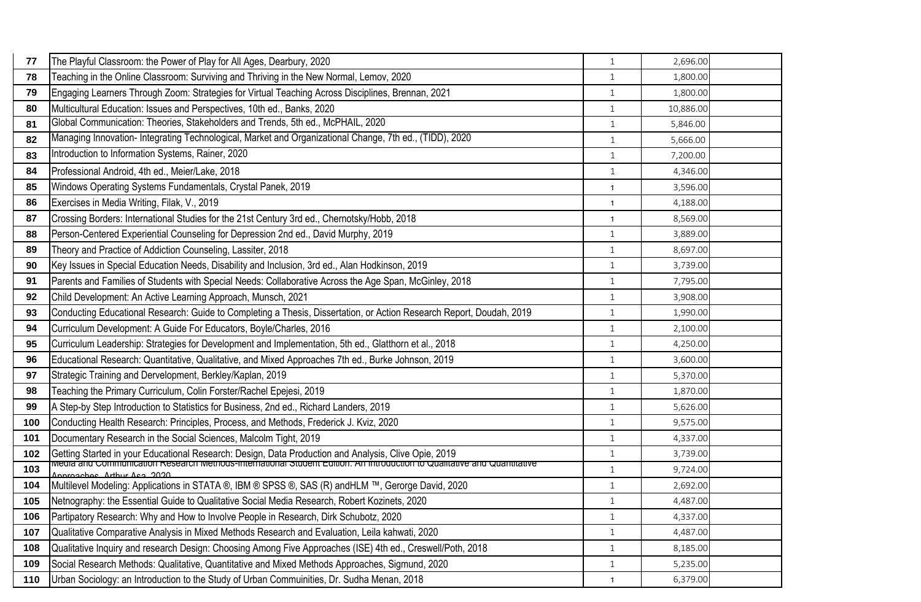| 77  | The Playful Classroom: the Power of Play for All Ages, Dearbury, 2020                                                                                          | $\mathbf{1}$ | 2,696.00  |  |
|-----|----------------------------------------------------------------------------------------------------------------------------------------------------------------|--------------|-----------|--|
| 78  | Teaching in the Online Classroom: Surviving and Thriving in the New Normal, Lemov, 2020                                                                        | $\mathbf{1}$ | 1,800.00  |  |
| 79  | Engaging Learners Through Zoom: Strategies for Virtual Teaching Across Disciplines, Brennan, 2021                                                              | $\mathbf{1}$ | 1,800.00  |  |
| 80  | Multicultural Education: Issues and Perspectives, 10th ed., Banks, 2020                                                                                        | $\mathbf{1}$ | 10,886.00 |  |
| 81  | Global Communication: Theories, Stakeholders and Trends, 5th ed., McPHAIL, 2020                                                                                | $\mathbf{1}$ | 5,846.00  |  |
| 82  | Managing Innovation- Integrating Technological, Market and Organizational Change, 7th ed., (TIDD), 2020                                                        | $\mathbf{1}$ | 5,666.00  |  |
| 83  | Introduction to Information Systems, Rainer, 2020                                                                                                              | $\mathbf{1}$ | 7,200.00  |  |
| 84  | Professional Android, 4th ed., Meier/Lake, 2018                                                                                                                | $\mathbf{1}$ | 4,346.00  |  |
| 85  | Windows Operating Systems Fundamentals, Crystal Panek, 2019                                                                                                    | $\mathbf{1}$ | 3,596.00  |  |
| 86  | Exercises in Media Writing, Filak, V., 2019                                                                                                                    | $\mathbf{1}$ | 4,188.00  |  |
| 87  | Crossing Borders: International Studies for the 21st Century 3rd ed., Chernotsky/Hobb, 2018                                                                    | $\mathbf{1}$ | 8,569.00  |  |
| 88  | Person-Centered Experiential Counseling for Depression 2nd ed., David Murphy, 2019                                                                             | $\mathbf{1}$ | 3,889.00  |  |
| 89  | Theory and Practice of Addiction Counseling, Lassiter, 2018                                                                                                    | $1\,$        | 8,697.00  |  |
| 90  | Key Issues in Special Education Needs, Disability and Inclusion, 3rd ed., Alan Hodkinson, 2019                                                                 | $\mathbf{1}$ | 3,739.00  |  |
| 91  | Parents and Families of Students with Special Needs: Collaborative Across the Age Span, McGinley, 2018                                                         | $\mathbf{1}$ | 7,795.00  |  |
| 92  | Child Development: An Active Learning Approach, Munsch, 2021                                                                                                   | $\mathbf{1}$ | 3,908.00  |  |
| 93  | Conducting Educational Research: Guide to Completing a Thesis, Dissertation, or Action Research Report, Doudah, 2019                                           | $\mathbf{1}$ | 1,990.00  |  |
| 94  | Curriculum Development: A Guide For Educators, Boyle/Charles, 2016                                                                                             | $\mathbf{1}$ | 2,100.00  |  |
| 95  | Curriculum Leadership: Strategies for Development and Implementation, 5th ed., Glatthorn et al., 2018                                                          | $\mathbf{1}$ | 4,250.00  |  |
| 96  | Educational Research: Quantitative, Qualitative, and Mixed Approaches 7th ed., Burke Johnson, 2019                                                             | $\mathbf{1}$ | 3,600.00  |  |
| 97  | Strategic Training and Dervelopment, Berkley/Kaplan, 2019                                                                                                      | $\mathbf{1}$ | 5,370.00  |  |
| 98  | Teaching the Primary Curriculum, Colin Forster/Rachel Epejesi, 2019                                                                                            | $\mathbf{1}$ | 1,870.00  |  |
| 99  | A Step-by Step Introduction to Statistics for Business, 2nd ed., Richard Landers, 2019                                                                         | $1\,$        | 5,626.00  |  |
| 100 | Conducting Health Research: Principles, Process, and Methods, Frederick J. Kviz, 2020                                                                          | $\mathbf{1}$ | 9,575.00  |  |
| 101 | Documentary Research in the Social Sciences, Malcolm Tight, 2019                                                                                               | $\mathbf{1}$ | 4,337.00  |  |
| 102 | Getting Started in your Educational Research: Design, Data Production and Analysis, Clive Opie, 2019                                                           | $\mathbf{1}$ | 3,739.00  |  |
| 103 | <u>iviedia and Communication Research Methods-international Student Edition. An introduction to Qualitative and Quantitative</u><br>Jonracobes Arthur Ass 2020 | $\mathbf{1}$ | 9,724.00  |  |
| 104 | Multilevel Modeling: Applications in STATA ®, IBM ® SPSS ®, SAS (R) andHLM ™, Gerorge David, 2020                                                              | $\mathbf{1}$ | 2,692.00  |  |
| 105 | Netnography: the Essential Guide to Qualitative Social Media Research, Robert Kozinets, 2020                                                                   | $1\,$        | 4,487.00  |  |
| 106 | Partipatory Research: Why and How to Involve People in Research, Dirk Schubotz, 2020                                                                           | $\mathbf{1}$ | 4,337.00  |  |
| 107 | Qualitative Comparative Analysis in Mixed Methods Research and Evaluation, Leila kahwati, 2020                                                                 | $\mathbf{1}$ | 4,487.00  |  |
| 108 | Qualitative Inquiry and research Design: Choosing Among Five Approaches (ISE) 4th ed., Creswell/Poth, 2018                                                     | $\mathbf{1}$ | 8,185.00  |  |
| 109 | Social Research Methods: Qualitative, Quantitative and Mixed Methods Approaches, Sigmund, 2020                                                                 | $\mathbf{1}$ | 5,235.00  |  |
| 110 | Urban Sociology: an Introduction to the Study of Urban Commuinities, Dr. Sudha Menan, 2018                                                                     | $\mathbf{1}$ | 6,379.00  |  |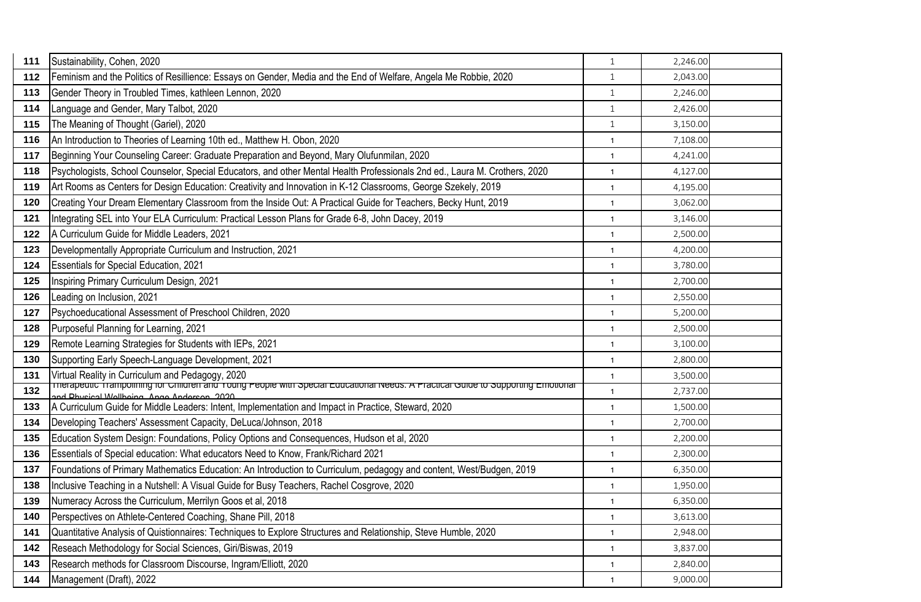| 111 | Sustainability, Cohen, 2020                                                                                                                                                           | $\mathbf{1}$ | 2,246.00 |  |
|-----|---------------------------------------------------------------------------------------------------------------------------------------------------------------------------------------|--------------|----------|--|
| 112 | Feminism and the Politics of Resillience: Essays on Gender, Media and the End of Welfare, Angela Me Robbie, 2020                                                                      | $\mathbf{1}$ | 2,043.00 |  |
| 113 | Gender Theory in Troubled Times, kathleen Lennon, 2020                                                                                                                                | $\mathbf{1}$ | 2,246.00 |  |
| 114 | Language and Gender, Mary Talbot, 2020                                                                                                                                                | $\mathbf{1}$ | 2,426.00 |  |
| 115 | The Meaning of Thought (Gariel), 2020                                                                                                                                                 | $\mathbf{1}$ | 3,150.00 |  |
| 116 | An Introduction to Theories of Learning 10th ed., Matthew H. Obon, 2020                                                                                                               | $\mathbf{1}$ | 7,108.00 |  |
| 117 | Beginning Your Counseling Career: Graduate Preparation and Beyond, Mary Olufunmilan, 2020                                                                                             | $\mathbf{1}$ | 4,241.00 |  |
| 118 | Psychologists, School Counselor, Special Educators, and other Mental Health Professionals 2nd ed., Laura M. Crothers, 2020                                                            | $\mathbf{1}$ | 4,127.00 |  |
| 119 | Art Rooms as Centers for Design Education: Creativity and Innovation in K-12 Classrooms, George Szekely, 2019                                                                         | $\mathbf{1}$ | 4,195.00 |  |
| 120 | Creating Your Dream Elementary Classroom from the Inside Out: A Practical Guide for Teachers, Becky Hunt, 2019                                                                        | $\mathbf{1}$ | 3,062.00 |  |
| 121 | Integrating SEL into Your ELA Curriculum: Practical Lesson Plans for Grade 6-8, John Dacey, 2019                                                                                      | $\mathbf{1}$ | 3,146.00 |  |
| 122 | A Curriculum Guide for Middle Leaders, 2021                                                                                                                                           | $\mathbf{1}$ | 2,500.00 |  |
| 123 | Developmentally Appropriate Curriculum and Instruction, 2021                                                                                                                          | $\mathbf{1}$ | 4,200.00 |  |
| 124 | <b>Essentials for Special Education, 2021</b>                                                                                                                                         | $\mathbf{1}$ | 3,780.00 |  |
| 125 | Inspiring Primary Curriculum Design, 2021                                                                                                                                             | $\mathbf{1}$ | 2,700.00 |  |
| 126 | Leading on Inclusion, 2021                                                                                                                                                            | $\mathbf{1}$ | 2,550.00 |  |
| 127 | Psychoeducational Assessment of Preschool Children, 2020                                                                                                                              | $\mathbf{1}$ | 5,200.00 |  |
| 128 | Purposeful Planning for Learning, 2021                                                                                                                                                | $\mathbf{1}$ | 2,500.00 |  |
| 129 | Remote Learning Strategies for Students with IEPs, 2021                                                                                                                               | $\mathbf{1}$ | 3,100.00 |  |
| 130 | Supporting Early Speech-Language Development, 2021                                                                                                                                    | $\mathbf{1}$ | 2,800.00 |  |
| 131 | Virtual Reality in Curriculum and Pedagogy, 2020<br>Trierapeutic Trampolining for Children and Young People with Special Educational Needs: A Practical Guide to Supporting Emotional | $\mathbf{1}$ | 3,500.00 |  |
| 132 | and Dhucipal Wallboing Ango Anderson 2020                                                                                                                                             | $\mathbf{1}$ | 2,737.00 |  |
| 133 | A Curriculum Guide for Middle Leaders: Intent, Implementation and Impact in Practice, Steward, 2020                                                                                   | $\mathbf{1}$ | 1,500.00 |  |
| 134 | Developing Teachers' Assessment Capacity, DeLuca/Johnson, 2018                                                                                                                        | $\mathbf{1}$ | 2,700.00 |  |
| 135 | Education System Design: Foundations, Policy Options and Consequences, Hudson et al, 2020                                                                                             | $\mathbf{1}$ | 2,200.00 |  |
| 136 | Essentials of Special education: What educators Need to Know, Frank/Richard 2021                                                                                                      | $\mathbf{1}$ | 2,300.00 |  |
| 137 | Foundations of Primary Mathematics Education: An Introduction to Curriculum, pedagogy and content, West/Budgen, 2019                                                                  | $\mathbf{1}$ | 6,350.00 |  |
| 138 | Inclusive Teaching in a Nutshell: A Visual Guide for Busy Teachers, Rachel Cosgrove, 2020                                                                                             | $\mathbf{1}$ | 1,950.00 |  |
| 139 | Numeracy Across the Curriculum, Merrilyn Goos et al, 2018                                                                                                                             | $\mathbf{1}$ | 6,350.00 |  |
| 140 | Perspectives on Athlete-Centered Coaching, Shane Pill, 2018                                                                                                                           | $\mathbf{1}$ | 3,613.00 |  |
| 141 | Quantitative Analysis of Quistionnaires: Techniques to Explore Structures and Relationship, Steve Humble, 2020                                                                        | $\mathbf{1}$ | 2,948.00 |  |
| 142 | Reseach Methodology for Social Sciences, Giri/Biswas, 2019                                                                                                                            | $\mathbf{1}$ | 3,837.00 |  |
| 143 | Research methods for Classroom Discourse, Ingram/Elliott, 2020                                                                                                                        | $\mathbf{1}$ | 2,840.00 |  |
| 144 | Management (Draft), 2022                                                                                                                                                              | $\mathbf{1}$ | 9,000.00 |  |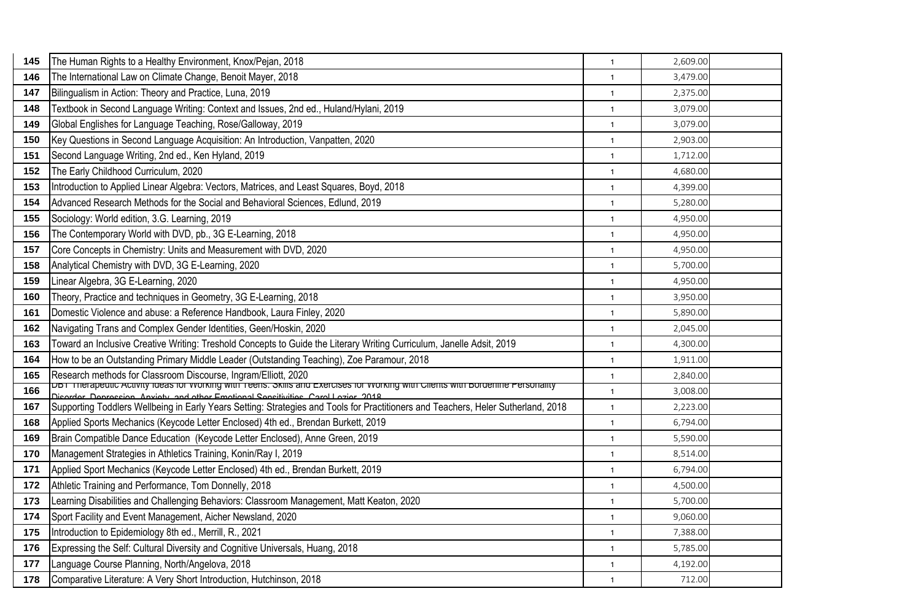| 145 | The Human Rights to a Healthy Environment, Knox/Pejan, 2018                                                                       | $\mathbf{1}$ | 2,609.00 |  |
|-----|-----------------------------------------------------------------------------------------------------------------------------------|--------------|----------|--|
| 146 | The International Law on Climate Change, Benoit Mayer, 2018                                                                       | $\mathbf{1}$ | 3,479.00 |  |
| 147 | Bilingualism in Action: Theory and Practice, Luna, 2019                                                                           | $\mathbf{1}$ | 2,375.00 |  |
| 148 | Textbook in Second Language Writing: Context and Issues, 2nd ed., Huland/Hylani, 2019                                             | $\mathbf{1}$ | 3,079.00 |  |
| 149 | Global Englishes for Language Teaching, Rose/Galloway, 2019                                                                       | $\mathbf{1}$ | 3,079.00 |  |
| 150 | Key Questions in Second Language Acquisition: An Introduction, Vanpatten, 2020                                                    | $\mathbf{1}$ | 2,903.00 |  |
| 151 | Second Language Writing, 2nd ed., Ken Hyland, 2019                                                                                | $\mathbf{1}$ | 1,712.00 |  |
| 152 | The Early Childhood Curriculum, 2020                                                                                              | $\mathbf{1}$ | 4,680.00 |  |
| 153 | Introduction to Applied Linear Algebra: Vectors, Matrices, and Least Squares, Boyd, 2018                                          | $\mathbf{1}$ | 4,399.00 |  |
| 154 | Advanced Research Methods for the Social and Behavioral Sciences, Edlund, 2019                                                    | $\mathbf{1}$ | 5,280.00 |  |
| 155 | Sociology: World edition, 3.G. Learning, 2019                                                                                     | $\mathbf{1}$ | 4,950.00 |  |
| 156 | The Contemporary World with DVD, pb., 3G E-Learning, 2018                                                                         | $\mathbf{1}$ | 4,950.00 |  |
| 157 | Core Concepts in Chemistry: Units and Measurement with DVD, 2020                                                                  | $\mathbf{1}$ | 4,950.00 |  |
| 158 | Analytical Chemistry with DVD, 3G E-Learning, 2020                                                                                | $\mathbf{1}$ | 5,700.00 |  |
| 159 | Linear Algebra, 3G E-Learning, 2020                                                                                               | $\mathbf{1}$ | 4,950.00 |  |
| 160 | Theory, Practice and techniques in Geometry, 3G E-Learning, 2018                                                                  | $\mathbf{1}$ | 3,950.00 |  |
| 161 | Domestic Violence and abuse: a Reference Handbook, Laura Finley, 2020                                                             | $\mathbf{1}$ | 5,890.00 |  |
| 162 | Navigating Trans and Complex Gender Identities, Geen/Hoskin, 2020                                                                 | $\mathbf{1}$ | 2,045.00 |  |
| 163 | Toward an Inclusive Creative Writing: Treshold Concepts to Guide the Literary Writing Curriculum, Janelle Adsit, 2019             | $\mathbf{1}$ | 4,300.00 |  |
| 164 | How to be an Outstanding Primary Middle Leader (Outstanding Teaching), Zoe Paramour, 2018                                         | $\mathbf{1}$ | 1,911.00 |  |
| 165 | Research methods for Classroom Discourse, Ingram/Elliott, 2020                                                                    | $\mathbf{1}$ | 2,840.00 |  |
| 166 | Disorder Deproccion Anvioty and other Emotional Consitivities Carol Lazier 2018                                                   | $\mathbf{1}$ | 3,008.00 |  |
| 167 | Supporting Toddlers Wellbeing in Early Years Setting: Strategies and Tools for Practitioners and Teachers, Heler Sutherland, 2018 | $\mathbf{1}$ | 2,223.00 |  |
| 168 | Applied Sports Mechanics (Keycode Letter Enclosed) 4th ed., Brendan Burkett, 2019                                                 | $\mathbf{1}$ | 6,794.00 |  |
| 169 | Brain Compatible Dance Education (Keycode Letter Enclosed), Anne Green, 2019                                                      | $\mathbf{1}$ | 5,590.00 |  |
| 170 | Management Strategies in Athletics Training, Konin/Ray I, 2019                                                                    | $\mathbf{1}$ | 8,514.00 |  |
| 171 | Applied Sport Mechanics (Keycode Letter Enclosed) 4th ed., Brendan Burkett, 2019                                                  | $\mathbf{1}$ | 6,794.00 |  |
| 172 | Athletic Training and Performance, Tom Donnelly, 2018                                                                             | $\mathbf{1}$ | 4,500.00 |  |
| 173 | Learning Disabilities and Challenging Behaviors: Classroom Management, Matt Keaton, 2020                                          | $\mathbf{1}$ | 5,700.00 |  |
| 174 | Sport Facility and Event Management, Aicher Newsland, 2020                                                                        | $\mathbf{1}$ | 9,060.00 |  |
| 175 | Introduction to Epidemiology 8th ed., Merrill, R., 2021                                                                           | $\mathbf{1}$ | 7,388.00 |  |
| 176 | Expressing the Self: Cultural Diversity and Cognitive Universals, Huang, 2018                                                     | $\mathbf{1}$ | 5,785.00 |  |
| 177 | Language Course Planning, North/Angelova, 2018                                                                                    | $\mathbf{1}$ | 4,192.00 |  |
| 178 | Comparative Literature: A Very Short Introduction, Hutchinson, 2018                                                               | $\mathbf{1}$ | 712.00   |  |